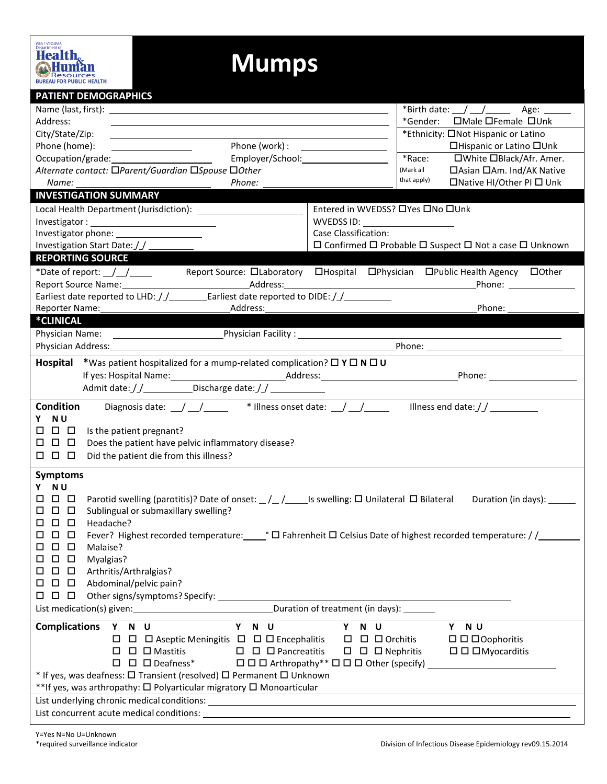| <b>PATIENT DEMOGRAPHICS</b>                                                                                                                                                                                                    |                                                                                                                                                                                                                                                                                                                                                                                                           |  |  |  |  |  |  |
|--------------------------------------------------------------------------------------------------------------------------------------------------------------------------------------------------------------------------------|-----------------------------------------------------------------------------------------------------------------------------------------------------------------------------------------------------------------------------------------------------------------------------------------------------------------------------------------------------------------------------------------------------------|--|--|--|--|--|--|
| Name (last, first): Name (last, first) and the set of the set of the set of the set of the set of the set of the set of the set of the set of the set of the set of the set of the set of the set of the set of the set of the | *Birth date: $\angle$ $\angle$ $\angle$ $\angle$ Age: $\angle$                                                                                                                                                                                                                                                                                                                                            |  |  |  |  |  |  |
| Address:                                                                                                                                                                                                                       | □Male □Female □Unk<br>*Gender:                                                                                                                                                                                                                                                                                                                                                                            |  |  |  |  |  |  |
| City/State/Zip:                                                                                                                                                                                                                | *Ethnicity: □Not Hispanic or Latino                                                                                                                                                                                                                                                                                                                                                                       |  |  |  |  |  |  |
| Phone (work) : \\esp \\end{math}<br>Phone (home):<br><u> Listen van die Stad van die Stad van die Stad van die Stad van die Stad van die Stad van die Stad van die Stad</u>                                                    | □Hispanic or Latino □Unk                                                                                                                                                                                                                                                                                                                                                                                  |  |  |  |  |  |  |
| Employer/School: 2000                                                                                                                                                                                                          | *Race:<br>□White □Black/Afr. Amer.                                                                                                                                                                                                                                                                                                                                                                        |  |  |  |  |  |  |
| Alternate contact: □Parent/Guardian □Spouse □Other                                                                                                                                                                             | (Mark all<br>□ Asian □ Am. Ind/AK Native                                                                                                                                                                                                                                                                                                                                                                  |  |  |  |  |  |  |
| Phone:<br>Name:                                                                                                                                                                                                                | that apply)<br>□Native HI/Other PI □ Unk                                                                                                                                                                                                                                                                                                                                                                  |  |  |  |  |  |  |
| <b>INVESTIGATION SUMMARY</b>                                                                                                                                                                                                   |                                                                                                                                                                                                                                                                                                                                                                                                           |  |  |  |  |  |  |
|                                                                                                                                                                                                                                | Entered in WVEDSS? □ Yes □ No □ Unk                                                                                                                                                                                                                                                                                                                                                                       |  |  |  |  |  |  |
|                                                                                                                                                                                                                                | WVEDSS ID: _____________________                                                                                                                                                                                                                                                                                                                                                                          |  |  |  |  |  |  |
| Investigator phone: _____________________                                                                                                                                                                                      | Case Classification:                                                                                                                                                                                                                                                                                                                                                                                      |  |  |  |  |  |  |
| Investigation Start Date: //                                                                                                                                                                                                   | $\Box$ Confirmed $\Box$ Probable $\Box$ Suspect $\Box$ Not a case $\Box$ Unknown                                                                                                                                                                                                                                                                                                                          |  |  |  |  |  |  |
| <b>REPORTING SOURCE</b>                                                                                                                                                                                                        |                                                                                                                                                                                                                                                                                                                                                                                                           |  |  |  |  |  |  |
| *Date of report: $\_\_\_\_\_\_\_\_\_\_\_\_\$                                                                                                                                                                                   | Report Source: DLaboratory DHospital DPhysician DPublic Health Agency DOther                                                                                                                                                                                                                                                                                                                              |  |  |  |  |  |  |
|                                                                                                                                                                                                                                | Phone: <u>________________</u>                                                                                                                                                                                                                                                                                                                                                                            |  |  |  |  |  |  |
| Earliest date reported to LHD: $\frac{1}{2}$ Earliest date reported to DIDE: $\frac{1}{2}$                                                                                                                                     |                                                                                                                                                                                                                                                                                                                                                                                                           |  |  |  |  |  |  |
| Address:<br>Reporter Name: 1997                                                                                                                                                                                                | Phone:                                                                                                                                                                                                                                                                                                                                                                                                    |  |  |  |  |  |  |
| *CLINICAL                                                                                                                                                                                                                      |                                                                                                                                                                                                                                                                                                                                                                                                           |  |  |  |  |  |  |
| Physician Name: 1990 - Physician Facility : 2000 - 2010 - 2010 - 2010 - 2010 - 2010 - 2010 - 2010 - 2010 - 20                                                                                                                  |                                                                                                                                                                                                                                                                                                                                                                                                           |  |  |  |  |  |  |
| Physician Address: North American State of the Address of the Address of the Address of the Address of the Address of the Address of the Address of the Address of the Address of the Address of the Address of the Address of |                                                                                                                                                                                                                                                                                                                                                                                                           |  |  |  |  |  |  |
| *Was patient hospitalized for a mump-related complication? $\Box$ $Y \Box N \Box U$<br>Hospital                                                                                                                                |                                                                                                                                                                                                                                                                                                                                                                                                           |  |  |  |  |  |  |
|                                                                                                                                                                                                                                |                                                                                                                                                                                                                                                                                                                                                                                                           |  |  |  |  |  |  |
| Admit date: //_____________Discharge date: //______________                                                                                                                                                                    |                                                                                                                                                                                                                                                                                                                                                                                                           |  |  |  |  |  |  |
| <b>Condition</b>                                                                                                                                                                                                               | Diagnosis date: $\frac{1}{\sqrt{1-\frac{1}{1-\frac{1}{1-\frac{1}{1-\frac{1}{1-\frac{1}{1-\frac{1}{1-\frac{1}{1-\frac{1}{1-\frac{1}{1-\frac{1}{1-\frac{1}{1-\frac{1}{1-\frac{1}{1-\frac{1}{1-\frac{1}{1-\frac{1}{1-\frac{1}{1-\frac{1}{1-\frac{1}{1-\frac{1}{1-\frac{1}{1-\frac{1}{1-\frac{1}{1-\frac{1}{1-\frac{1}{1-\frac{1}{1-\frac{1}{1-\frac{1}{1-\frac{1}{1-\frac{1}{1-\frac{1}{1-\frac{1}{1-\frac{$ |  |  |  |  |  |  |
| N U<br>Y                                                                                                                                                                                                                       |                                                                                                                                                                                                                                                                                                                                                                                                           |  |  |  |  |  |  |
| 0<br>$\Box$<br>Is the patient pregnant?                                                                                                                                                                                        |                                                                                                                                                                                                                                                                                                                                                                                                           |  |  |  |  |  |  |
| $\Box$<br>□<br>Does the patient have pelvic inflammatory disease?<br>$\Box$                                                                                                                                                    |                                                                                                                                                                                                                                                                                                                                                                                                           |  |  |  |  |  |  |
| $\Box$ $\Box$ $\Box$<br>Did the patient die from this illness?                                                                                                                                                                 |                                                                                                                                                                                                                                                                                                                                                                                                           |  |  |  |  |  |  |
|                                                                                                                                                                                                                                |                                                                                                                                                                                                                                                                                                                                                                                                           |  |  |  |  |  |  |
| <b>Symptoms</b>                                                                                                                                                                                                                |                                                                                                                                                                                                                                                                                                                                                                                                           |  |  |  |  |  |  |
| Y NU                                                                                                                                                                                                                           |                                                                                                                                                                                                                                                                                                                                                                                                           |  |  |  |  |  |  |
| 000<br>Duration (in days): 1997                                                                                                                                                                                                |                                                                                                                                                                                                                                                                                                                                                                                                           |  |  |  |  |  |  |
| Sublingual or submaxillary swelling?<br>$\Box$<br>0<br>□                                                                                                                                                                       |                                                                                                                                                                                                                                                                                                                                                                                                           |  |  |  |  |  |  |
| 0 D<br>$\Box$<br>Headache?                                                                                                                                                                                                     |                                                                                                                                                                                                                                                                                                                                                                                                           |  |  |  |  |  |  |
| Fever? Highest recorded temperature: $\Box$ $\Box$ Fahrenheit $\Box$ Celsius Date of highest recorded temperature: // $\Box$<br>000                                                                                            |                                                                                                                                                                                                                                                                                                                                                                                                           |  |  |  |  |  |  |
| 0 O<br>Malaise?<br>□                                                                                                                                                                                                           |                                                                                                                                                                                                                                                                                                                                                                                                           |  |  |  |  |  |  |
| $\Box$<br>Myalgias?<br>□<br>$\Box$                                                                                                                                                                                             |                                                                                                                                                                                                                                                                                                                                                                                                           |  |  |  |  |  |  |
| Arthritis/Arthralgias?<br>$\Box$<br>□<br>$\Box$                                                                                                                                                                                |                                                                                                                                                                                                                                                                                                                                                                                                           |  |  |  |  |  |  |
| $\Box$ Abdominal/pelvic pain?<br>$\Box$<br>$\Box$                                                                                                                                                                              |                                                                                                                                                                                                                                                                                                                                                                                                           |  |  |  |  |  |  |
| $\Box$ $\Box$ $\Box$                                                                                                                                                                                                           |                                                                                                                                                                                                                                                                                                                                                                                                           |  |  |  |  |  |  |
| Duration of treatment (in days): ______<br>List medication(s) given:<br><u>List</u> medication(s) given:                                                                                                                       |                                                                                                                                                                                                                                                                                                                                                                                                           |  |  |  |  |  |  |
| <b>Complications</b><br>Y N U<br>Y<br>N U                                                                                                                                                                                      | Y NU<br>Y<br>N U                                                                                                                                                                                                                                                                                                                                                                                          |  |  |  |  |  |  |
| $\Box$ $\Box$ Aseptic Meningitis $\Box$ $\Box$ $\Box$ Encephalitis                                                                                                                                                             | $\square$ $\square$ $\square$ Orchitis<br>$\Box$ $\Box$ $\Box$ Oophoritis                                                                                                                                                                                                                                                                                                                                 |  |  |  |  |  |  |
| $\square$ $\square$ $\square$ Mastitis<br>$\square$ $\square$ $\square$ Pancreatitis                                                                                                                                           | $\square$ $\square$ $\square$ Nephritis<br>$\Box$ $\Box$ $\Box$ Myocarditis                                                                                                                                                                                                                                                                                                                               |  |  |  |  |  |  |
| $\square$ $\square$ $\square$ Deafness*                                                                                                                                                                                        | $\Box$ $\Box$ Arthropathy** $\Box$ $\Box$ $\Box$ Other (specify)                                                                                                                                                                                                                                                                                                                                          |  |  |  |  |  |  |
| * If yes, was deafness: □ Transient (resolved) □ Permanent □ Unknown                                                                                                                                                           |                                                                                                                                                                                                                                                                                                                                                                                                           |  |  |  |  |  |  |
| **If yes, was arthropathy: $\square$ Polyarticular migratory $\square$ Monoarticular                                                                                                                                           |                                                                                                                                                                                                                                                                                                                                                                                                           |  |  |  |  |  |  |
|                                                                                                                                                                                                                                |                                                                                                                                                                                                                                                                                                                                                                                                           |  |  |  |  |  |  |
|                                                                                                                                                                                                                                |                                                                                                                                                                                                                                                                                                                                                                                                           |  |  |  |  |  |  |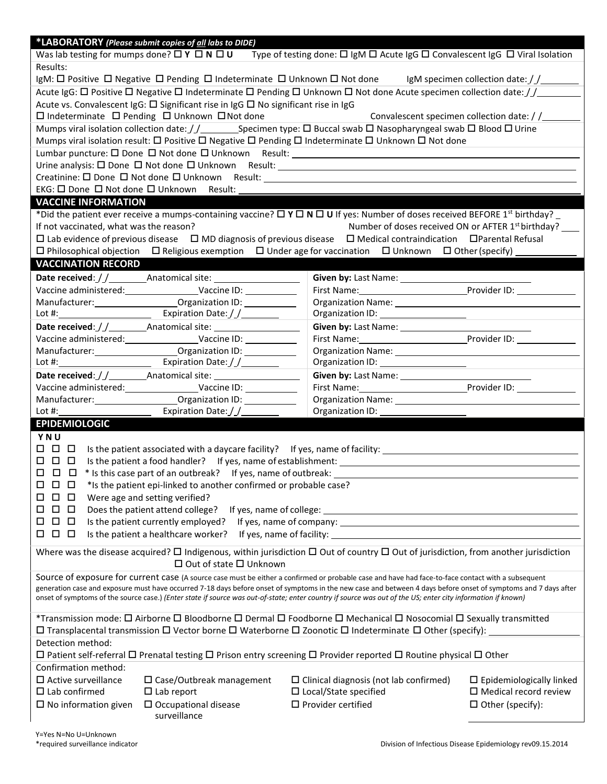| *LABORATORY (Please submit copies of all labs to DIDE)                                                                                                                                                        |                                                                                                                                                    |  |  |  |  |  |
|---------------------------------------------------------------------------------------------------------------------------------------------------------------------------------------------------------------|----------------------------------------------------------------------------------------------------------------------------------------------------|--|--|--|--|--|
| Was lab testing for mumps done? $\square$ Y $\square$ N $\square$ U                                                                                                                                           | Type of testing done: $\Box$ IgM $\Box$ Acute IgG $\Box$ Convalescent IgG $\Box$ Viral Isolation                                                   |  |  |  |  |  |
| Results:                                                                                                                                                                                                      |                                                                                                                                                    |  |  |  |  |  |
|                                                                                                                                                                                                               | IgM: $\Box$ Positive $\Box$ Negative $\Box$ Pending $\Box$ Indeterminate $\Box$ Unknown $\Box$ Not done IgM specimen collection date: $\Box$       |  |  |  |  |  |
|                                                                                                                                                                                                               | Acute IgG: $\Box$ Positive $\Box$ Negative $\Box$ Indeterminate $\Box$ Pending $\Box$ Unknown $\Box$ Not done Acute specimen collection date: $//$ |  |  |  |  |  |
| Acute vs. Convalescent IgG: □ Significant rise in IgG □ No significant rise in IgG<br>□ Indeterminate □ Pending □ Unknown □ Not done                                                                          | Convalescent specimen collection date: / /                                                                                                         |  |  |  |  |  |
| Mumps viral isolation collection date: $\frac{1}{2}$ Specimen type: $\Box$ Buccal swab $\Box$ Nasopharyngeal swab $\Box$ Blood $\Box$ Urine                                                                   |                                                                                                                                                    |  |  |  |  |  |
| Mumps viral isolation result: $\Box$ Positive $\Box$ Negative $\Box$ Pending $\Box$ Indeterminate $\Box$ Unknown $\Box$ Not done                                                                              |                                                                                                                                                    |  |  |  |  |  |
|                                                                                                                                                                                                               |                                                                                                                                                    |  |  |  |  |  |
|                                                                                                                                                                                                               |                                                                                                                                                    |  |  |  |  |  |
|                                                                                                                                                                                                               |                                                                                                                                                    |  |  |  |  |  |
| EKG: 0 Done 0 Not done 0 Unknown Result:                                                                                                                                                                      |                                                                                                                                                    |  |  |  |  |  |
| <b>VACCINE INFORMATION</b>                                                                                                                                                                                    |                                                                                                                                                    |  |  |  |  |  |
| *Did the patient ever receive a mumps-containing vaccine? $\Box Y \Box N \Box U$ If yes: Number of doses received BEFORE 1 <sup>st</sup> birthday? _                                                          |                                                                                                                                                    |  |  |  |  |  |
| If not vaccinated, what was the reason?                                                                                                                                                                       | Number of doses received ON or AFTER 1 <sup>st</sup> birthday?                                                                                     |  |  |  |  |  |
| $\Box$ Lab evidence of previous disease $\Box$ MD diagnosis of previous disease $\Box$ Medical contraindication $\Box$ Parental Refusal                                                                       |                                                                                                                                                    |  |  |  |  |  |
| $\Box$ Philosophical objection $\Box$ Religious exemption $\Box$ Under age for vaccination $\Box$ Unknown $\Box$ Other (specify)                                                                              |                                                                                                                                                    |  |  |  |  |  |
| <b>VACCINATION RECORD</b>                                                                                                                                                                                     |                                                                                                                                                    |  |  |  |  |  |
|                                                                                                                                                                                                               | Given by: Last Name: ______________                                                                                                                |  |  |  |  |  |
|                                                                                                                                                                                                               | First Name: Provider ID: Provider ID:                                                                                                              |  |  |  |  |  |
|                                                                                                                                                                                                               |                                                                                                                                                    |  |  |  |  |  |
| Lot #: $\sqrt{2\pi i}$ Expiration Date: $\int \int$                                                                                                                                                           |                                                                                                                                                    |  |  |  |  |  |
|                                                                                                                                                                                                               |                                                                                                                                                    |  |  |  |  |  |
| Vaccine administered: Vaccine ID: Vaccine ID:                                                                                                                                                                 |                                                                                                                                                    |  |  |  |  |  |
|                                                                                                                                                                                                               |                                                                                                                                                    |  |  |  |  |  |
| Expiration Date: / /_________<br>Lot #: $\qquad \qquad$                                                                                                                                                       |                                                                                                                                                    |  |  |  |  |  |
|                                                                                                                                                                                                               |                                                                                                                                                    |  |  |  |  |  |
| Vaccine administered: Vaccine ID: Vaccine ID:                                                                                                                                                                 |                                                                                                                                                    |  |  |  |  |  |
| Expiration Date://________<br>Lot $\#$ : $\qquad \qquad$                                                                                                                                                      |                                                                                                                                                    |  |  |  |  |  |
| <b>EPIDEMIOLOGIC</b>                                                                                                                                                                                          |                                                                                                                                                    |  |  |  |  |  |
| YNU                                                                                                                                                                                                           |                                                                                                                                                    |  |  |  |  |  |
|                                                                                                                                                                                                               |                                                                                                                                                    |  |  |  |  |  |
| O 0<br>□                                                                                                                                                                                                      |                                                                                                                                                    |  |  |  |  |  |
| * Is this case part of an outbreak? If yes, name of outbreak:<br>000                                                                                                                                          |                                                                                                                                                    |  |  |  |  |  |
| *Is the patient epi-linked to another confirmed or probable case?<br>$\Box$<br>□<br>$\Box$                                                                                                                    |                                                                                                                                                    |  |  |  |  |  |
| $\Box$<br>Were age and setting verified?<br>□<br>□                                                                                                                                                            |                                                                                                                                                    |  |  |  |  |  |
| $\Box$<br>$\Box$<br>Does the patient attend college?<br>If yes, name of college:<br>□<br><u> 1989 - Johann Stoff, deutscher Stoff, der Stoff, der Stoff, der Stoff, der Stoff, der Stoff, der Stoff, der </u> |                                                                                                                                                    |  |  |  |  |  |
| $\Box$<br>$\Box$<br>Is the patient currently employed?<br>If yes, name of company: 1999 and 200 million and 200 million and 200 million and 200 million and 200 million<br>□                                  |                                                                                                                                                    |  |  |  |  |  |
| 0 D<br>$\Box$<br>Is the patient a healthcare worker?<br>If yes, name of facility:                                                                                                                             |                                                                                                                                                    |  |  |  |  |  |
| Where was the disease acquired? $\Box$ Indigenous, within jurisdiction $\Box$ Out of country $\Box$ Out of jurisdiction, from another jurisdiction<br>$\Box$ Out of state $\Box$ Unknown                      |                                                                                                                                                    |  |  |  |  |  |
| Source of exposure for current case (A source case must be either a confirmed or probable case and have had face-to-face contact with a subsequent                                                            |                                                                                                                                                    |  |  |  |  |  |
| generation case and exposure must have occurred 7-18 days before onset of symptoms in the new case and between 4 days before onset of symptoms and 7 days after                                               |                                                                                                                                                    |  |  |  |  |  |
| onset of symptoms of the source case.) (Enter state if source was out-of-state; enter country if source was out of the US; enter city information if known)                                                   |                                                                                                                                                    |  |  |  |  |  |
|                                                                                                                                                                                                               |                                                                                                                                                    |  |  |  |  |  |
| *Transmission mode: $\Box$ Airborne $\Box$ Bloodborne $\Box$ Dermal $\Box$ Foodborne $\Box$ Mechanical $\Box$ Nosocomial $\Box$ Sexually transmitted                                                          |                                                                                                                                                    |  |  |  |  |  |
| $\Box$ Transplacental transmission $\Box$ Vector borne $\Box$ Waterborne $\Box$ Zoonotic $\Box$ Indeterminate $\Box$ Other (specify):<br>Detection method:                                                    |                                                                                                                                                    |  |  |  |  |  |
|                                                                                                                                                                                                               |                                                                                                                                                    |  |  |  |  |  |
| $\Box$ Patient self-referral $\Box$ Prenatal testing $\Box$ Prison entry screening $\Box$ Provider reported $\Box$ Routine physical $\Box$ Other<br>Confirmation method:                                      |                                                                                                                                                    |  |  |  |  |  |
| $\Box$ Active surveillance<br>$\square$ Case/Outbreak management                                                                                                                                              | $\Box$ Clinical diagnosis (not lab confirmed)<br>$\Box$ Epidemiologically linked                                                                   |  |  |  |  |  |
| $\square$ Lab confirmed<br>$\Box$ Lab report                                                                                                                                                                  | $\square$ Local/State specified<br>$\Box$ Medical record review                                                                                    |  |  |  |  |  |
| $\square$ No information given<br>$\Box$ Occupational disease                                                                                                                                                 | $\square$ Provider certified<br>$\Box$ Other (specify):                                                                                            |  |  |  |  |  |
| surveillance                                                                                                                                                                                                  |                                                                                                                                                    |  |  |  |  |  |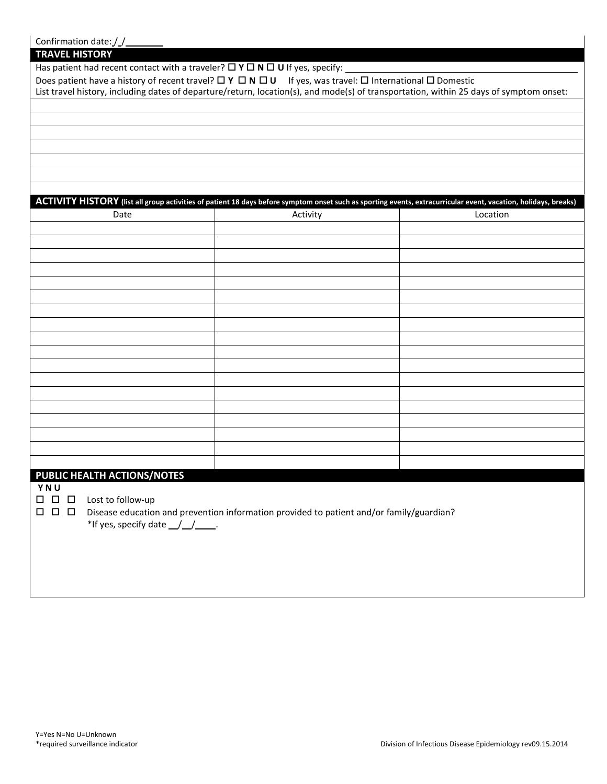| Confirmation date: //                                                                                                                                                                                                                                                   |                                                                                          |          |
|-------------------------------------------------------------------------------------------------------------------------------------------------------------------------------------------------------------------------------------------------------------------------|------------------------------------------------------------------------------------------|----------|
| <b>TRAVEL HISTORY</b>                                                                                                                                                                                                                                                   |                                                                                          |          |
| Has patient had recent contact with a traveler? $\Box Y \Box N \Box U$ If yes, specify:                                                                                                                                                                                 |                                                                                          |          |
| Does patient have a history of recent travel? $\Box Y \Box N \Box U$ If yes, was travel: $\Box$ International $\Box$ Domestic<br>List travel history, including dates of departure/return, location(s), and mode(s) of transportation, within 25 days of symptom onset: |                                                                                          |          |
|                                                                                                                                                                                                                                                                         |                                                                                          |          |
|                                                                                                                                                                                                                                                                         |                                                                                          |          |
|                                                                                                                                                                                                                                                                         |                                                                                          |          |
|                                                                                                                                                                                                                                                                         |                                                                                          |          |
|                                                                                                                                                                                                                                                                         |                                                                                          |          |
|                                                                                                                                                                                                                                                                         |                                                                                          |          |
|                                                                                                                                                                                                                                                                         |                                                                                          |          |
| ACTIVITY HISTORY (list all group activities of patient 18 days before symptom onset such as sporting events, extracurricular event, vacation, holidays, breaks)                                                                                                         |                                                                                          |          |
| Date                                                                                                                                                                                                                                                                    | Activity                                                                                 | Location |
|                                                                                                                                                                                                                                                                         |                                                                                          |          |
|                                                                                                                                                                                                                                                                         |                                                                                          |          |
|                                                                                                                                                                                                                                                                         |                                                                                          |          |
|                                                                                                                                                                                                                                                                         |                                                                                          |          |
|                                                                                                                                                                                                                                                                         |                                                                                          |          |
|                                                                                                                                                                                                                                                                         |                                                                                          |          |
|                                                                                                                                                                                                                                                                         |                                                                                          |          |
|                                                                                                                                                                                                                                                                         |                                                                                          |          |
|                                                                                                                                                                                                                                                                         |                                                                                          |          |
|                                                                                                                                                                                                                                                                         |                                                                                          |          |
|                                                                                                                                                                                                                                                                         |                                                                                          |          |
|                                                                                                                                                                                                                                                                         |                                                                                          |          |
|                                                                                                                                                                                                                                                                         |                                                                                          |          |
|                                                                                                                                                                                                                                                                         |                                                                                          |          |
|                                                                                                                                                                                                                                                                         |                                                                                          |          |
|                                                                                                                                                                                                                                                                         |                                                                                          |          |
|                                                                                                                                                                                                                                                                         |                                                                                          |          |
| PUBLIC HEALTH ACTIONS/NOTES                                                                                                                                                                                                                                             |                                                                                          |          |
| YNU                                                                                                                                                                                                                                                                     |                                                                                          |          |
| $\Box$<br>$\Box$<br>Lost to follow-up<br>$\Box$                                                                                                                                                                                                                         |                                                                                          |          |
| $\Box$<br>$\Box$<br>$\Box$                                                                                                                                                                                                                                              | Disease education and prevention information provided to patient and/or family/guardian? |          |
| *If yes, specify date __/__/____.                                                                                                                                                                                                                                       |                                                                                          |          |
|                                                                                                                                                                                                                                                                         |                                                                                          |          |
|                                                                                                                                                                                                                                                                         |                                                                                          |          |
|                                                                                                                                                                                                                                                                         |                                                                                          |          |
|                                                                                                                                                                                                                                                                         |                                                                                          |          |

 $\overline{\phantom{a}}$